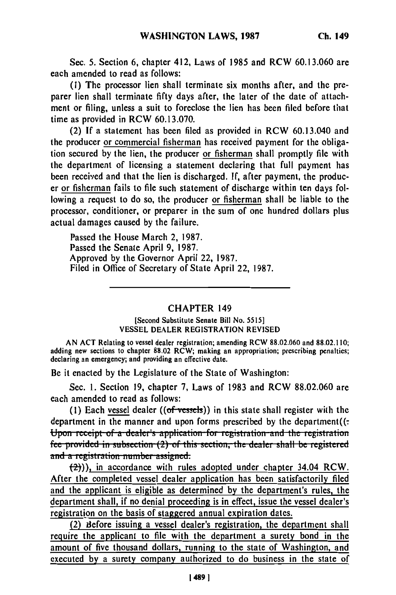Sec. **5.** Section **6,** chapter 412, Laws of **1985** and RCW **60.13.060** are each amended to read as follows:

**(1)** The processor lien shall terminate six months after, and the preparer lien shall terminate **fifty** days after, the later of the date of attachment or filing, unless a suit to foreclose the lien has been filed before that time as provided in RCW **60.13.070.**

(2) **If** a statement has been filed as provided in RCW 60.13.040 and the producer or commercial fisherman has received payment for the obligation secured **by** the lien, the producer or fisherman shall promptly file with the department of licensing a statement declaring that full payment has been received and that the lien is discharged. **If,** after payment, the producer or fisherman fails to file such statement of discharge within ten days following a request to do so, the producer or fisherman shall be liable to the processor, conditioner, or preparer in the sum of one hundred dollars plus actual damages caused **by** the failure.

Passed the House March 2, **1987.** Passed the Senate April **9, 1987.** Approved **by** the Governor April 22, **1987.** Filed in Office of Secretary of State April 22, **1987.**

## CHAPTER 149

## [Second Substitute Senate Bill No. **5515] VESSEL DEALER** REGISTRATION REVISED

**AN ACT** Relating to vessel dealer registration; amending RCW **88.02.060** and **88.02.110;** adding new sections to chapter **88.02** RCW; making an appropriation; prescribing penalties; declaring an emergency; and providing an effective date.

Be it enacted **by** the Legislature of the State of Washington:

Sec. **1.** Section **19,** chapter **7,** Laws of **1983** and RCW **88.02.060** are each amended to read as follows:

**(1)** Each vessel dealer ((of vessels)) in this state shall register with the department in the manner and upon forms prescribed **by** the department((: **fermion** receipt of a dealer's application for registration and the registration fee provided in subsection (2) of this section, the dealer shall be registered and a registration number assigned.

 $(2)$ )), in accordance with rules adopted under chapter 34.04 RCW. After the completed vessel dealer application has been satisfactorily filed and the applicant is eligible as determined **by** the department's rules, the department shall, if no denial proceeding is in effect, issue the vessel dealer's registration on the basis of staggered annual expiration dates.

(2) Sefore issuing a vessel dealer's registration, the department shall require the applicant to file with the department a surety bond in the amount of five thousand dollars, running to the state of Washington, and executed **by** a surety company authorized to do business in the state of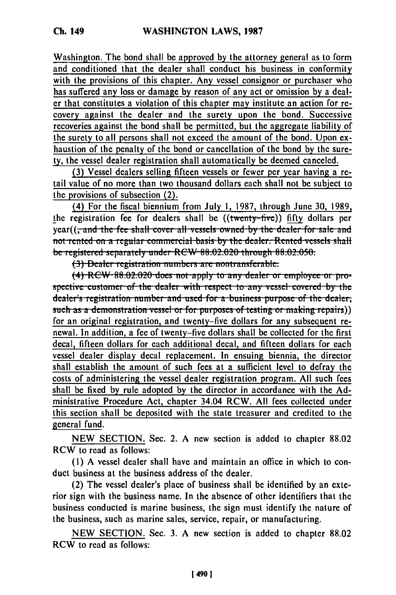Washington. The bond shall be approved by the attorney general as to form and conditioned that the dealer shall conduct his business in conformity with the provisions of this chapter. Any vessel consignor or purchaser who has suffered any loss or damage by reason of any act or omission by a dealer that constitutes a violation of this chapter may institute an action for recovery against the dealer and the surety upon the bond. Successive recoveries against the bond shall be permitted, but the aggregate liability of the surety to all persons shall not exceed the amount of the bond. Upon exhaustion of the penalty of the bond or cancellation of the bond by the surety, the vessel dealer registration shall automatically be deemed canceled.

(3) Vessel dealers selling fifteen vessels or fewer per year having a retail value of no more than two thousand dollars each shall not be subject to the provisions of subsection (2).

(4) For the fiscal biennium from July 1, 1987, through June 30, 1989, the registration fee for dealers shall be ((twenty-five)) fifty dollars per year((<del>, and the fee shall cover all vessels owned by the dealer for sale and</del> not rented on a regular commercial basis by the dealer. Rented vessels shall be registered separately under RCW 88.02.020 through 88.02.050.

(3) Dealer registration numbers are nontransferable:

(4) RCW 88.02.020 does not apply to any dealer or employee or prospective customer of the dealer with respect to any vessel covered by the dealer's registration number and used for a business purpose of the dealer, such as a demonstration vessel or for purposes of testing or making repairs)) for an original registration, and twenty-five dollars for any subsequent renewal. In addition, a fee of twenty-five dollars shall be collected for the first decal, fifteen dollars for each additional decal, and fifteen dollars for each vessel dealer display decal replacement. In ensuing biennia, the director shall establish the amount of such fees at a sufficient level to defray the costs of administering the vessel dealer registration program. All such fees shall be fixed by rule adopted by the director in accordance with the Administrative Procedure Act, chapter 34.04 RCW. All fees collected under this section shall be deposited with the state treasurer and credited to the general fund.

NEW SECTION. Sec. 2. A new section is added to chapter 88.02 RCW to read as follows:

(1) A vessel dealer shall have and maintain an office in which to conduct business at the business address of the dealer.

(2) The vessel dealer's place of business shall be identified by an exterior sign with the business name. In the absence of other identifiers that the business conducted is marine business, the sign must identify the nature of the business, such as marine sales, service, repair, or manufacturing.

NEW SECTION. Sec. 3. A new section is added to chapter 88.02 RCW to read as follows: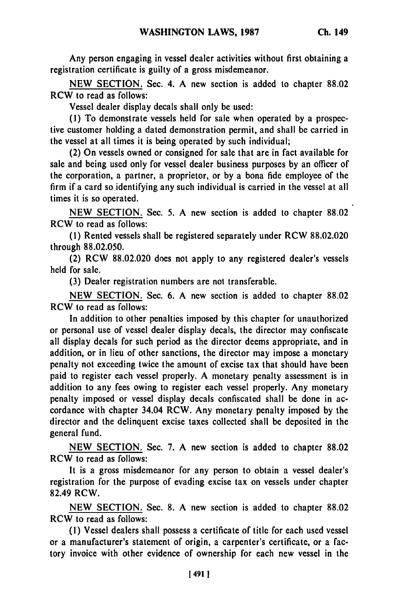Any person engaging in vessel dealer activities without first obtaining a registration certificate is guilty of a gross misdemeanor.

**NEW** SECTION. Sec. 4. A new section is added to chapter 88.02 RCW to read as follows:

Vessel dealer display decals shall only be used:

(1) To demonstrate vessels held for sale when operated by a prospective customer holding a dated demonstration permit, and shall be carried in the vessel at all times it is being operated by such individual;

(2) On vessels owned or consigned for sale that are in fact available for sale and being used only for vessel dealer business purposes by an officer of the corporation, a partner, a proprietor, or by a bona fide employee of the firm if a card so identifying any such individual is carried in the vessel at all times it is so operated.

NEW SECTION. Sec. 5. A new section is added to chapter 88.02 RCW to read as follows:

**(1)** Rented vessels shall be registered separately under RCW 88.02.020 through 88.02.050.

(2) RCW 88.02.020 does not apply to any registered dealer's vessels held for sale.

(3) Dealer registration numbers are not transferable.

NEW SECTION. Sec. 6. A new section is added to chapter 88.02 RCW to read as follows:

In addition to other penalties imposed by this chapter for unauthorized or personal use of vessel dealer display decals, the director may confiscate all display decals for such period as the director deems appropriate, and in addition, or in lieu of other sanctions, the director may impose a monetary penalty not exceeding twice the amount of excise tax that should have been paid to register each vessel properly. A monetary penalty assessment is in addition to any fees owing to register each vessel properly. Any monetary penalty imposed or vessel display decals confiscated shall be done in accordance with chapter 34.04 RCW. Any monetary penalty imposed by the director and the delinquent excise taxes collected shall be deposited in the general fund.

NEW SECTION. Sec. 7. A new section is added to chapter 88.02 RCW to read as follows:

It is a gross misdemeanor for any person to obtain a vessel dealer's registration for the purpose of evading excise tax on vessels under chapter 82.49 RCW.

NEW SECTION. Sec. 8. A new section is added to chapter 88.02 RCW to read as follows:

(1) Vessel dealers shall possess a certificate of title for each used vessel or a manufacturer's statement of origin, a carpenter's certificate, or a factory invoice with other evidence of ownership for each new vessel in the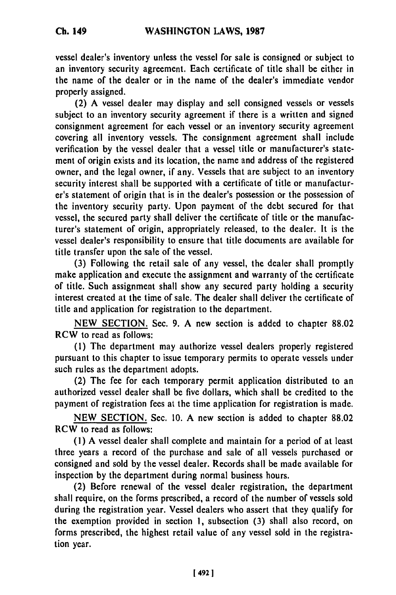vessel dealer's inventory unless the vessel for sale is consigned or subject to an inventory security agreement. Each certificate of title shall be either in the name of the dealer or in the name of the dealer's immediate vendor properly assigned.

(2) **A** vessel dealer may display and sell consigned vessels or vessels subject to an inventory security agreement if there is a written and signed consignment agreement for each vessel or an inventory security agreement covering all inventory vessels. The consignment agreement shall include verification **by** the vessel dealer that a vessel title or manufacturer's statement of origin exists and its location, the name and address of the registered owner, and the legal owner, if any. Vessels that are subject to an inventory security interest shall be supported with a certificate of title or manufacturer's statement of origin that is in the dealer's possession or the possession of the inventory security party. Upon payment of the debt secured for that vessel, the secured party shall deliver the certificate of title or the manufacturer's statement of origin, appropriately released, to the dealer. It is the vessel dealer's responsibility to ensure that title documents are available for title transfer upon the sale of the vessel.

**(3)** Following the retail sale of any vessel, the dealer shall promptly make application and execute the assignment and warranty of the certificate of title. Such assignment shall show any secured party holding a security interest created at the time of sale. The dealer shall deliver the certificate of title and application for registration to the department.

**NEW** SECTION. Sec. 9. A new section is added to chapter **88.02** RCW to read as follows:

**(1)** The department may authorize vessel dealers properly registered pursuant to this chapter to issue temporary permits to operate vessels under such rules as the department adopts.

(2) The fee for each temporary permit application distributed to an authorized vessel dealer shall be five dollars, which shall be credited to the payment of registration fees at the time application for registration is made.

**NEW** SECTION. Sec. 10. A new section is added to chapter **88.02** RCW to read as follows:

**(1) A** vessel dealer shall complete and maintain for a period of at least three years a record of the purchase and sale of all vessels purchased or consigned and sold by the vessel dealer. Records shall be made available for inspection **by** the department during normal business hours.

(2) Before renewal of the vessel dealer registration, the department shall require, on the forms prescribed, a record of the number of vessels sold during the registration year. Vessel dealers who assert that they qualify for the exemption provided in section **1,** subsection (3) shall also record, on forms prescribed, the highest retail value of any vessel sold in the registration year.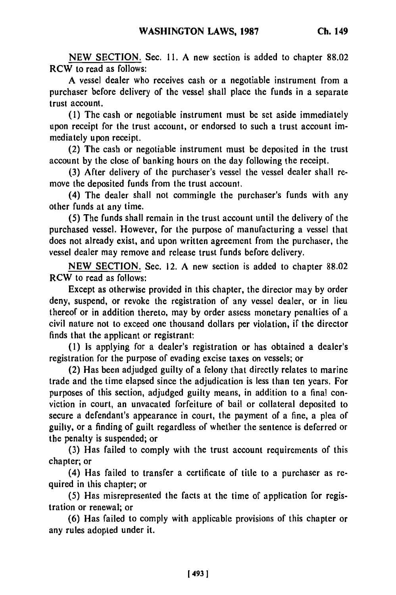**NEW SECTION.** Sec. **11.** A new section is added to chapter **88.02** RCW to read as follows:

**A** vessel dealer who receives cash or a negotiable instrument from a purchaser before delivery of the vessel shall place the funds in a separate trust account.

**(1)** The cash or negotiable instrument must be set aside immediately upon receipt for the trust account, or endorsed to such a trust account immediately upon receipt.

(2) The cash or negotiable instrument must **be** deposited in the trust account **by** the close of banking hours on the day following the receipt.

**(3)** After delivery of the purchaser's vessel the vessel dealer shall remove the deposited funds from the trust account.

(4) The dealer shall not commingle the purchaser's funds with any other funds at any time.

(5) The funds shall remain in the trust account until the delivery of the purchased vessel. However, for the purpose of manufacturing a vessel that does not already exist, and upon written agreement from the purchaser, the vessel dealer may remove and release trust funds before delivery.

NEW SECTION. Sec. 12. A new section is added to chapter 88.02 RCW to read as follows:

Except as otherwise provided in this chapter, the director may by order deny, suspend, or revoke the registration of any vessel dealer, or in lieu thereof or in addition thereto, may by order assess monetary penalties of a civil nature not to exceed one thousand dollars per violation, if the director finds that the applicant or registrant:

(1) Is applying for a dealer's registration or has obtained a dealer's registration for the purpose of evading excise taxes on vessels; or

(2) Has been adjudged guilty of a felony that directly relates to marine trade and the time elapsed since the adjudication is less than ten years. For purposes of this section, adjudged guilty means, in addition to a final conviction in court, an unvacated forfeiture of bail or collateral deposited to secure a defendant's appearance in court, the payment of a fine, a plea of guilty, or a finding of guilt regardless of whether the sentence is deferred or the penalty is suspended; or

(3) Has failed to comply with the trust account requirements of this chapter; or

(4) Has failed to transfer a certificate of title to a purchaser as required in this chapter; or

**(5)** Has misrepresented the facts at the time of application for registration or renewal; or

(6) Has failed to comply with applicable provisions of this chapter or any rules adopted under it.